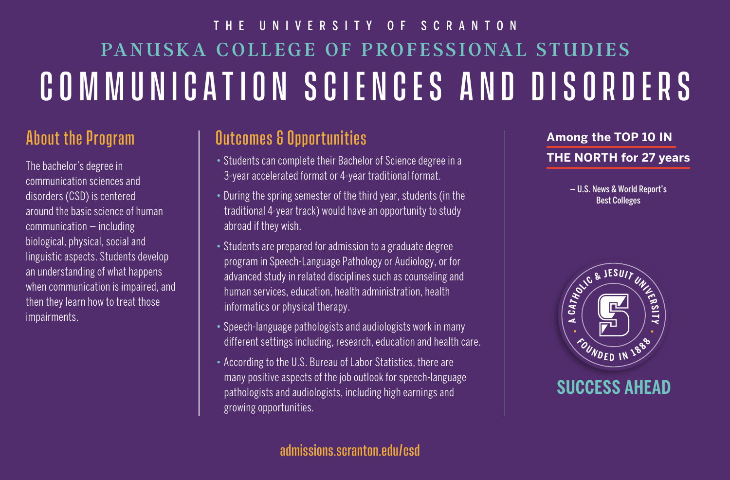# PANUSKA COLLEGE OF PROFESSIONAL STUDIES COMMUNICATION SCIENCES AND DISORDERS THE UNIVERSITY OF SCRANTON

### About the Program

The bachelor's degree in communication sciences and disorders (CSD) is centered around the basic science of human communication — including biological, physical, social and linguistic aspects. Students develop an understanding of what happens when communication is impaired, and then they learn how to treat those impairments.

## Outcomes & Opportunities

- Students can complete their Bachelor of Science degree in a 3-year accelerated format or 4-year traditional format.
- During the spring semester of the third year, students (in the traditional 4-year track) would have an opportunity to study abroad if they wish.
- Students are prepared for admission to a graduate degree program in Speech-Language Pathology or Audiology, or for advanced study in related disciplines such as counseling and human services, education, health administration, health informatics or physical therapy.
- Speech-language pathologists and audiologists work in many different settings including, research, education and health care.
- According to the U.S. Bureau of Labor Statistics, there are many positive aspects of the job outlook for speech-language pathologists and audiologists, including high earnings and growing opportunities.

#### **Among the TOP 10 IN THE NORTH for 27 years**

— U.S. News & World Report's Best Colleges



### **SUCCESS AHEAD**